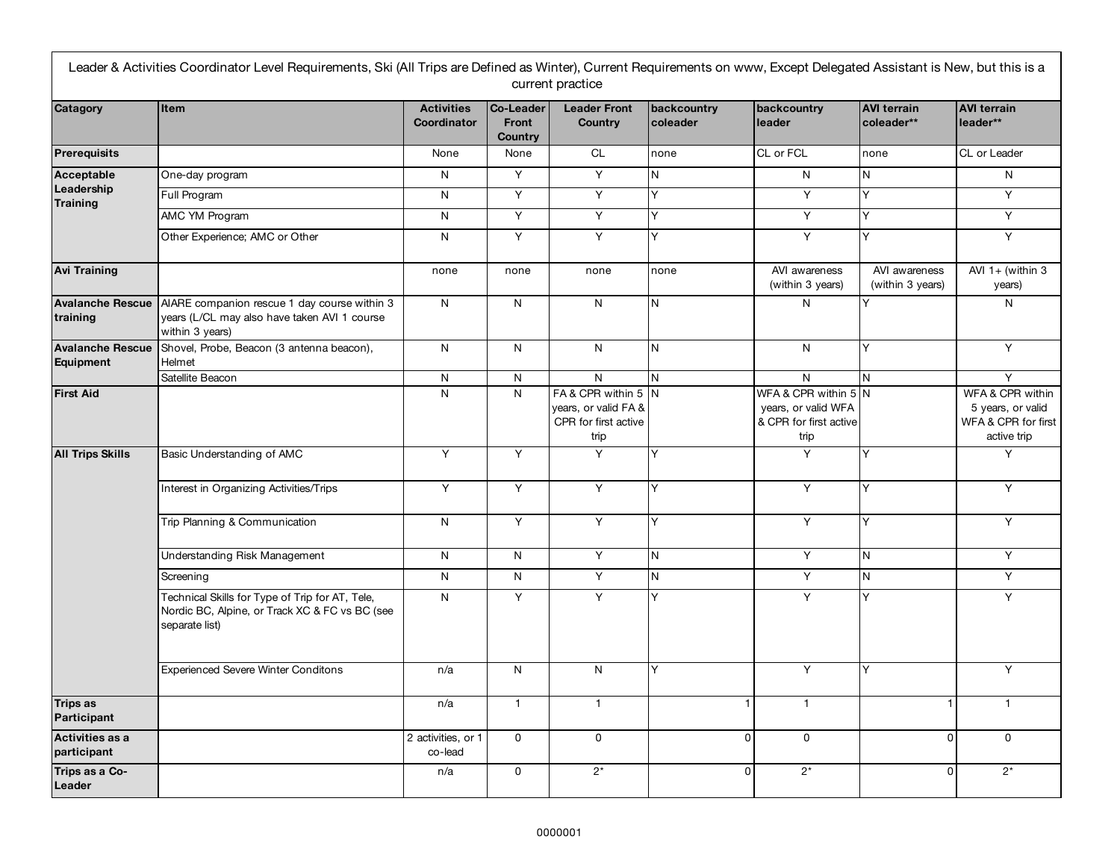| Catagory                                    | <b>Item</b>                                                                                                         | <b>Activities</b>             | Co-Leader                      | <b>Leader Front</b>                                                         | backcountry | backcountry                                                                   | <b>AVI terrain</b>                | <b>AVI terrain</b>                                                          |
|---------------------------------------------|---------------------------------------------------------------------------------------------------------------------|-------------------------------|--------------------------------|-----------------------------------------------------------------------------|-------------|-------------------------------------------------------------------------------|-----------------------------------|-----------------------------------------------------------------------------|
|                                             |                                                                                                                     | Coordinator                   | <b>Front</b><br><b>Country</b> | <b>Country</b>                                                              | coleader    | leader                                                                        | coleader**                        | leader**                                                                    |
| <b>Prerequisits</b>                         |                                                                                                                     | None                          | None                           | <b>CL</b>                                                                   | none        | CL or FCL                                                                     | none                              | CL or Leader                                                                |
| Acceptable<br>Leadership<br><b>Training</b> | One-day program                                                                                                     | N                             | Y                              | Y                                                                           | N           | N                                                                             | N                                 | N                                                                           |
|                                             | Full Program                                                                                                        | N                             | Y                              | Y                                                                           | Y           | Y                                                                             | Y                                 | $\overline{Y}$                                                              |
|                                             | AMC YM Program                                                                                                      | N                             | Y                              | Y                                                                           | Y           | Y                                                                             | Y                                 | Y                                                                           |
|                                             | Other Experience; AMC or Other                                                                                      | N                             | Y                              | Y                                                                           | Y           | Y                                                                             | Y                                 | Y                                                                           |
| <b>Avi Training</b>                         |                                                                                                                     | none                          | none                           | none                                                                        | none        | AVI awareness<br>(within 3 years)                                             | AVI awareness<br>(within 3 years) | AVI $1+$ (within 3<br>years)                                                |
| <b>Avalanche Rescue</b><br>training         | AIARE companion rescue 1 day course within 3<br>years (L/CL may also have taken AVI 1 course<br>within 3 years)     | N                             | N                              | N                                                                           | N           | N                                                                             | Y                                 | N                                                                           |
| <b>Avalanche Rescue</b><br>Equipment        | Shovel, Probe, Beacon (3 antenna beacon),<br>Helmet                                                                 | N                             | $\mathsf{N}$                   | $\mathsf{N}$                                                                | N           | N                                                                             | Y                                 | Y                                                                           |
|                                             | Satellite Beacon                                                                                                    | N                             | N                              | $\mathsf{N}$                                                                | N           | N                                                                             | N                                 | Y                                                                           |
| <b>First Aid</b>                            |                                                                                                                     | N                             | $\mathsf{N}$                   | FA & CPR within 5 N<br>years, or valid FA &<br>CPR for first active<br>trip |             | WFA & CPR within 5 N<br>years, or valid WFA<br>& CPR for first active<br>trip |                                   | WFA & CPR within<br>5 years, or valid<br>WFA & CPR for first<br>active trip |
| <b>All Trips Skills</b>                     | Basic Understanding of AMC                                                                                          | Y                             | Y                              | Y                                                                           | Y           | Y                                                                             | Y                                 | Y                                                                           |
|                                             | Interest in Organizing Activities/Trips                                                                             | Y                             | Y                              | Y                                                                           | Y           | Y                                                                             | Y                                 | Y                                                                           |
|                                             | Trip Planning & Communication                                                                                       | N                             | Υ                              | Y                                                                           | Y           | Y                                                                             | Y                                 | Y                                                                           |
|                                             | Understanding Risk Management                                                                                       | N                             | $\mathsf{N}$                   | Y                                                                           | N           | Y                                                                             | N                                 | Y                                                                           |
|                                             | Screening                                                                                                           | N                             | N                              | Y                                                                           | N           | Y                                                                             | $\mathsf{N}$                      | Y                                                                           |
|                                             | Technical Skills for Type of Trip for AT, Tele,<br>Nordic BC, Alpine, or Track XC & FC vs BC (see<br>separate list) | N                             | Υ                              | Y                                                                           | Y           | Y                                                                             | lY.                               | Y                                                                           |
|                                             | <b>Experienced Severe Winter Conditons</b>                                                                          | n/a                           | N                              | N                                                                           | Υ           | Y                                                                             | Y                                 | Y                                                                           |
| <b>Trips as</b><br>Participant              |                                                                                                                     | n/a                           | $\mathbf{1}$                   | $\mathbf{1}$                                                                |             | $\mathbf{1}$                                                                  | 1                                 | $\overline{1}$                                                              |
| Activities as a<br>participant              |                                                                                                                     | 2 activities, or 1<br>co-lead | $\mathsf{O}$                   | $\mathsf 0$                                                                 |             | 0<br>$\Omega$                                                                 | $\mathbf{0}$                      | $\mathbf 0$                                                                 |
| Trips as a Co-<br>Leader                    |                                                                                                                     | n/a                           | $\mathsf{O}$                   | $2^*$                                                                       |             | $2^*$<br>$\Omega$                                                             | $\mathbf{0}$                      | $2^*$                                                                       |